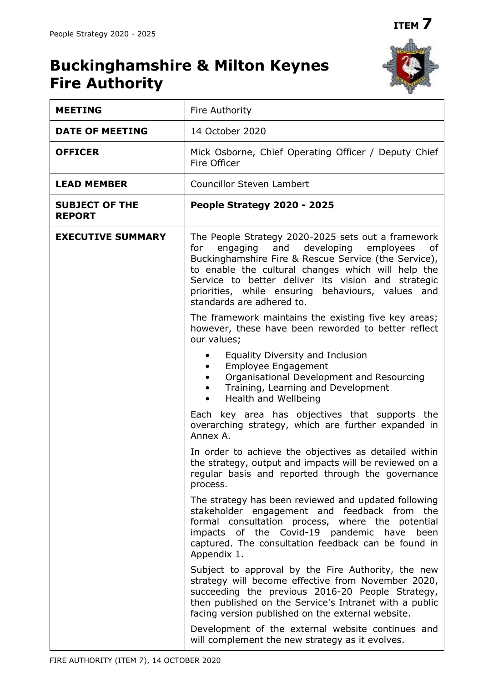# **Buckinghamshire & Milton Keynes Fire Authority**



| <b>MEETING</b>                         | Fire Authority                                                                                                                                                                                                                                                                                                                                                   |  |  |  |
|----------------------------------------|------------------------------------------------------------------------------------------------------------------------------------------------------------------------------------------------------------------------------------------------------------------------------------------------------------------------------------------------------------------|--|--|--|
| <b>DATE OF MEETING</b>                 | 14 October 2020                                                                                                                                                                                                                                                                                                                                                  |  |  |  |
| <b>OFFICER</b>                         | Mick Osborne, Chief Operating Officer / Deputy Chief<br>Fire Officer                                                                                                                                                                                                                                                                                             |  |  |  |
| <b>LEAD MEMBER</b>                     | <b>Councillor Steven Lambert</b>                                                                                                                                                                                                                                                                                                                                 |  |  |  |
| <b>SUBJECT OF THE</b><br><b>REPORT</b> | People Strategy 2020 - 2025                                                                                                                                                                                                                                                                                                                                      |  |  |  |
| <b>EXECUTIVE SUMMARY</b>               | The People Strategy 2020-2025 sets out a framework<br>and developing<br>employees<br>for<br>engaging<br>of<br>Buckinghamshire Fire & Rescue Service (the Service),<br>to enable the cultural changes which will help the<br>Service to better deliver its vision and strategic<br>priorities, while ensuring behaviours, values and<br>standards are adhered to. |  |  |  |
|                                        | The framework maintains the existing five key areas;<br>however, these have been reworded to better reflect<br>our values;                                                                                                                                                                                                                                       |  |  |  |
|                                        | Equality Diversity and Inclusion<br><b>Employee Engagement</b><br>Organisational Development and Resourcing<br>Training, Learning and Development<br>Health and Wellbeing                                                                                                                                                                                        |  |  |  |
|                                        | Each key area has objectives that supports the<br>overarching strategy, which are further expanded in<br>Annex A.                                                                                                                                                                                                                                                |  |  |  |
|                                        | In order to achieve the objectives as detailed within<br>the strategy, output and impacts will be reviewed on a<br>regular basis and reported through the governance<br>process.                                                                                                                                                                                 |  |  |  |
|                                        | The strategy has been reviewed and updated following<br>stakeholder engagement and feedback from the<br>formal consultation process, where the potential<br>impacts of the Covid-19 pandemic have been<br>captured. The consultation feedback can be found in<br>Appendix 1.                                                                                     |  |  |  |
|                                        | Subject to approval by the Fire Authority, the new<br>strategy will become effective from November 2020,<br>succeeding the previous 2016-20 People Strategy,<br>then published on the Service's Intranet with a public<br>facing version published on the external website.                                                                                      |  |  |  |
|                                        | Development of the external website continues and<br>will complement the new strategy as it evolves.                                                                                                                                                                                                                                                             |  |  |  |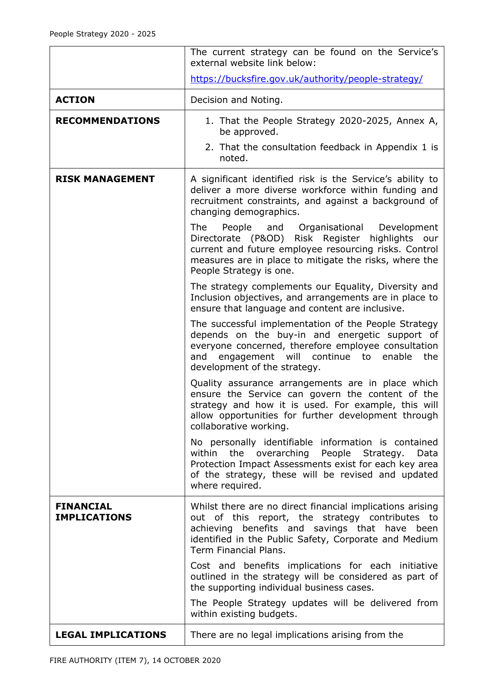|                                         | The current strategy can be found on the Service's<br>external website link below:                                                                                                                                                                   |  |  |  |  |
|-----------------------------------------|------------------------------------------------------------------------------------------------------------------------------------------------------------------------------------------------------------------------------------------------------|--|--|--|--|
|                                         | https://bucksfire.gov.uk/authority/people-strategy/                                                                                                                                                                                                  |  |  |  |  |
| <b>ACTION</b>                           | Decision and Noting.                                                                                                                                                                                                                                 |  |  |  |  |
| <b>RECOMMENDATIONS</b>                  | 1. That the People Strategy 2020-2025, Annex A,<br>be approved.                                                                                                                                                                                      |  |  |  |  |
|                                         | 2. That the consultation feedback in Appendix 1 is<br>noted.                                                                                                                                                                                         |  |  |  |  |
| <b>RISK MANAGEMENT</b>                  | A significant identified risk is the Service's ability to<br>deliver a more diverse workforce within funding and<br>recruitment constraints, and against a background of<br>changing demographics.                                                   |  |  |  |  |
|                                         | The<br>People and Organisational<br>Development<br>Directorate (P&OD) Risk Register highlights<br>our<br>current and future employee resourcing risks. Control<br>measures are in place to mitigate the risks, where the<br>People Strategy is one.  |  |  |  |  |
|                                         | The strategy complements our Equality, Diversity and<br>Inclusion objectives, and arrangements are in place to<br>ensure that language and content are inclusive.                                                                                    |  |  |  |  |
|                                         | The successful implementation of the People Strategy<br>depends on the buy-in and energetic support of<br>everyone concerned, therefore employee consultation<br>engagement will continue to<br>the<br>and<br>enable<br>development of the strategy. |  |  |  |  |
|                                         | Quality assurance arrangements are in place which<br>ensure the Service can govern the content of the<br>strategy and how it is used. For example, this will<br>allow opportunities for further development through<br>collaborative working.        |  |  |  |  |
|                                         | No personally identifiable information is contained<br>within<br>the<br>overarching<br>People<br>Strategy.<br>Data<br>Protection Impact Assessments exist for each key area<br>of the strategy, these will be revised and updated<br>where required. |  |  |  |  |
| <b>FINANCIAL</b><br><b>IMPLICATIONS</b> | Whilst there are no direct financial implications arising<br>out of this report, the strategy contributes to<br>achieving benefits and savings that have been<br>identified in the Public Safety, Corporate and Medium<br>Term Financial Plans.      |  |  |  |  |
|                                         | Cost and benefits implications for each initiative<br>outlined in the strategy will be considered as part of<br>the supporting individual business cases.                                                                                            |  |  |  |  |
|                                         | The People Strategy updates will be delivered from<br>within existing budgets.                                                                                                                                                                       |  |  |  |  |
| <b>LEGAL IMPLICATIONS</b>               | There are no legal implications arising from the                                                                                                                                                                                                     |  |  |  |  |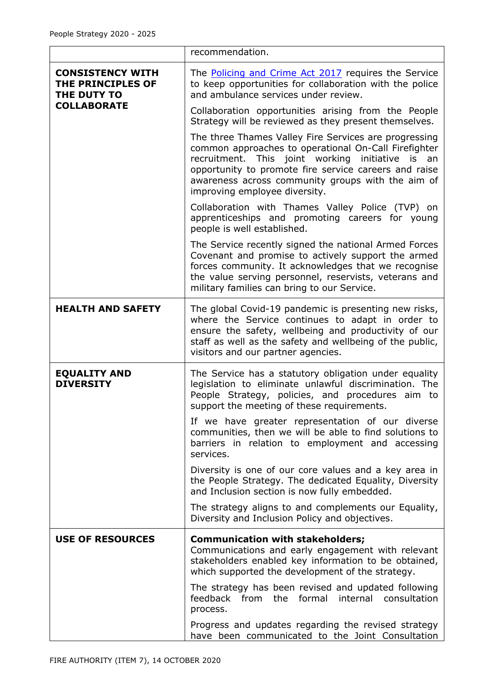|                                                             | recommendation.                                                                                                                                                                                                                                                                                                     |  |  |  |  |  |
|-------------------------------------------------------------|---------------------------------------------------------------------------------------------------------------------------------------------------------------------------------------------------------------------------------------------------------------------------------------------------------------------|--|--|--|--|--|
| <b>CONSISTENCY WITH</b><br>THE PRINCIPLES OF<br>THE DUTY TO | The <b>Policing and Crime Act 2017</b> requires the Service<br>to keep opportunities for collaboration with the police<br>and ambulance services under review.                                                                                                                                                      |  |  |  |  |  |
| <b>COLLABORATE</b>                                          | Collaboration opportunities arising from the People<br>Strategy will be reviewed as they present themselves.                                                                                                                                                                                                        |  |  |  |  |  |
|                                                             | The three Thames Valley Fire Services are progressing<br>common approaches to operational On-Call Firefighter<br>recruitment. This joint working initiative is<br>an<br>opportunity to promote fire service careers and raise<br>awareness across community groups with the aim of<br>improving employee diversity. |  |  |  |  |  |
|                                                             | Collaboration with Thames Valley Police (TVP) on<br>apprenticeships and promoting careers for young<br>people is well established.                                                                                                                                                                                  |  |  |  |  |  |
|                                                             | The Service recently signed the national Armed Forces<br>Covenant and promise to actively support the armed<br>forces community. It acknowledges that we recognise<br>the value serving personnel, reservists, veterans and<br>military families can bring to our Service.                                          |  |  |  |  |  |
| <b>HEALTH AND SAFETY</b>                                    | The global Covid-19 pandemic is presenting new risks,<br>where the Service continues to adapt in order to<br>ensure the safety, wellbeing and productivity of our<br>staff as well as the safety and wellbeing of the public,<br>visitors and our partner agencies.                                                 |  |  |  |  |  |
| <b>EQUALITY AND</b><br><b>DIVERSITY</b>                     | The Service has a statutory obligation under equality<br>legislation to eliminate unlawful discrimination. The<br>People Strategy, policies, and procedures aim to<br>support the meeting of these requirements.                                                                                                    |  |  |  |  |  |
|                                                             | If we have greater representation of our diverse<br>communities, then we will be able to find solutions to<br>barriers in relation to employment and accessing<br>services.                                                                                                                                         |  |  |  |  |  |
|                                                             | Diversity is one of our core values and a key area in<br>the People Strategy. The dedicated Equality, Diversity<br>and Inclusion section is now fully embedded.                                                                                                                                                     |  |  |  |  |  |
|                                                             | The strategy aligns to and complements our Equality,<br>Diversity and Inclusion Policy and objectives.                                                                                                                                                                                                              |  |  |  |  |  |
| <b>USE OF RESOURCES</b>                                     | <b>Communication with stakeholders;</b><br>Communications and early engagement with relevant<br>stakeholders enabled key information to be obtained,<br>which supported the development of the strategy.                                                                                                            |  |  |  |  |  |
|                                                             | The strategy has been revised and updated following<br>feedback from the formal internal<br>consultation<br>process.                                                                                                                                                                                                |  |  |  |  |  |
|                                                             | Progress and updates regarding the revised strategy<br>have been communicated to the Joint Consultation                                                                                                                                                                                                             |  |  |  |  |  |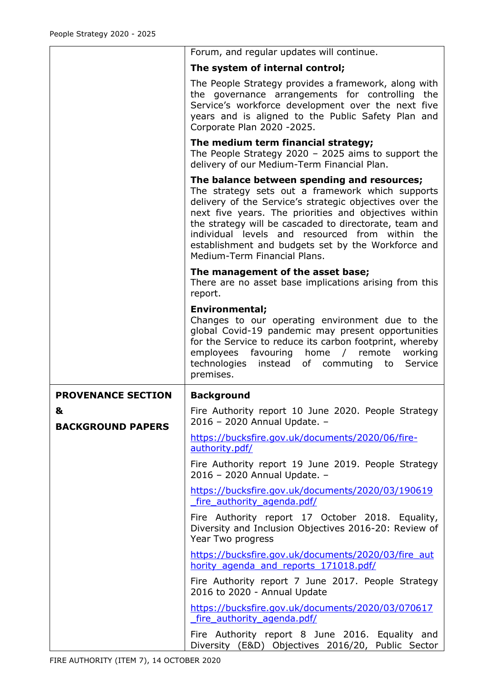|                               | Forum, and regular updates will continue.                                                                                                                                                                                                                                                                                                                                                                              |  |  |  |  |  |
|-------------------------------|------------------------------------------------------------------------------------------------------------------------------------------------------------------------------------------------------------------------------------------------------------------------------------------------------------------------------------------------------------------------------------------------------------------------|--|--|--|--|--|
|                               | The system of internal control;                                                                                                                                                                                                                                                                                                                                                                                        |  |  |  |  |  |
|                               | The People Strategy provides a framework, along with<br>the governance arrangements for controlling the<br>Service's workforce development over the next five<br>years and is aligned to the Public Safety Plan and<br>Corporate Plan 2020 -2025.                                                                                                                                                                      |  |  |  |  |  |
|                               | The medium term financial strategy;<br>The People Strategy 2020 - 2025 aims to support the<br>delivery of our Medium-Term Financial Plan.                                                                                                                                                                                                                                                                              |  |  |  |  |  |
|                               | The balance between spending and resources;<br>The strategy sets out a framework which supports<br>delivery of the Service's strategic objectives over the<br>next five years. The priorities and objectives within<br>the strategy will be cascaded to directorate, team and<br>individual levels and resourced from within the<br>establishment and budgets set by the Workforce and<br>Medium-Term Financial Plans. |  |  |  |  |  |
|                               | The management of the asset base;<br>There are no asset base implications arising from this<br>report.                                                                                                                                                                                                                                                                                                                 |  |  |  |  |  |
|                               | <b>Environmental;</b><br>Changes to our operating environment due to the<br>global Covid-19 pandemic may present opportunities<br>for the Service to reduce its carbon footprint, whereby<br>employees favouring home / remote<br>working<br>technologies instead of commuting to<br>Service<br>premises.                                                                                                              |  |  |  |  |  |
| <b>PROVENANCE SECTION</b>     | <b>Background</b>                                                                                                                                                                                                                                                                                                                                                                                                      |  |  |  |  |  |
| &<br><b>BACKGROUND PAPERS</b> | Fire Authority report 10 June 2020. People Strategy<br>2016 - 2020 Annual Update. -                                                                                                                                                                                                                                                                                                                                    |  |  |  |  |  |
|                               | https://bucksfire.gov.uk/documents/2020/06/fire-<br>authority.pdf/                                                                                                                                                                                                                                                                                                                                                     |  |  |  |  |  |
|                               | Fire Authority report 19 June 2019. People Strategy<br>2016 - 2020 Annual Update. -                                                                                                                                                                                                                                                                                                                                    |  |  |  |  |  |
|                               | https://bucksfire.gov.uk/documents/2020/03/190619<br>fire authority agenda.pdf/                                                                                                                                                                                                                                                                                                                                        |  |  |  |  |  |
|                               | Fire Authority report 17 October 2018. Equality,<br>Diversity and Inclusion Objectives 2016-20: Review of<br>Year Two progress                                                                                                                                                                                                                                                                                         |  |  |  |  |  |
|                               | https://bucksfire.gov.uk/documents/2020/03/fire_aut<br>hority agenda and reports 171018.pdf/                                                                                                                                                                                                                                                                                                                           |  |  |  |  |  |
|                               | Fire Authority report 7 June 2017. People Strategy<br>2016 to 2020 - Annual Update                                                                                                                                                                                                                                                                                                                                     |  |  |  |  |  |
|                               | https://bucksfire.gov.uk/documents/2020/03/070617<br>fire authority agenda.pdf/                                                                                                                                                                                                                                                                                                                                        |  |  |  |  |  |
|                               |                                                                                                                                                                                                                                                                                                                                                                                                                        |  |  |  |  |  |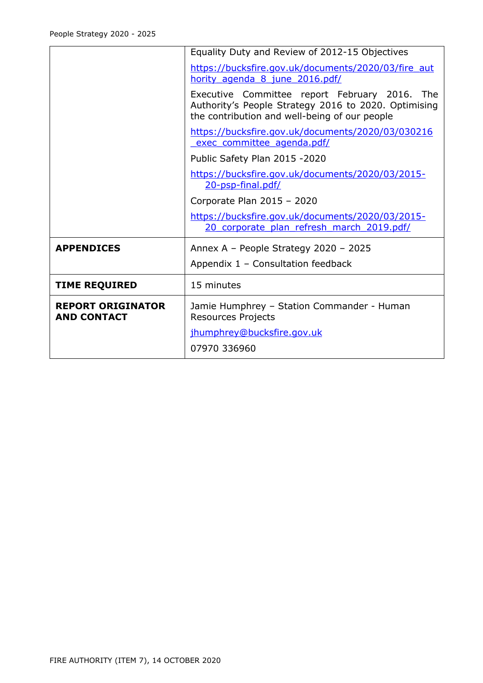|                                                | Equality Duty and Review of 2012-15 Objectives                                                                                                         |  |  |  |  |  |
|------------------------------------------------|--------------------------------------------------------------------------------------------------------------------------------------------------------|--|--|--|--|--|
|                                                | https://bucksfire.gov.uk/documents/2020/03/fire_aut<br>hority agenda 8 june 2016.pdf/                                                                  |  |  |  |  |  |
|                                                | Executive Committee report February 2016. The<br>Authority's People Strategy 2016 to 2020. Optimising<br>the contribution and well-being of our people |  |  |  |  |  |
|                                                | https://bucksfire.gov.uk/documents/2020/03/030216<br>exec committee agenda.pdf/                                                                        |  |  |  |  |  |
|                                                | Public Safety Plan 2015 -2020                                                                                                                          |  |  |  |  |  |
|                                                | https://bucksfire.gov.uk/documents/2020/03/2015-<br>20-psp-final.pdf/                                                                                  |  |  |  |  |  |
|                                                | Corporate Plan 2015 - 2020                                                                                                                             |  |  |  |  |  |
|                                                | https://bucksfire.gov.uk/documents/2020/03/2015-<br>20 corporate plan refresh march 2019.pdf/                                                          |  |  |  |  |  |
| <b>APPENDICES</b>                              | Annex A - People Strategy 2020 - 2025                                                                                                                  |  |  |  |  |  |
|                                                | Appendix 1 - Consultation feedback                                                                                                                     |  |  |  |  |  |
| <b>TIME REQUIRED</b>                           | 15 minutes                                                                                                                                             |  |  |  |  |  |
| <b>REPORT ORIGINATOR</b><br><b>AND CONTACT</b> | Jamie Humphrey - Station Commander - Human<br><b>Resources Projects</b>                                                                                |  |  |  |  |  |
|                                                | jhumphrey@bucksfire.gov.uk                                                                                                                             |  |  |  |  |  |
|                                                | 07970 336960                                                                                                                                           |  |  |  |  |  |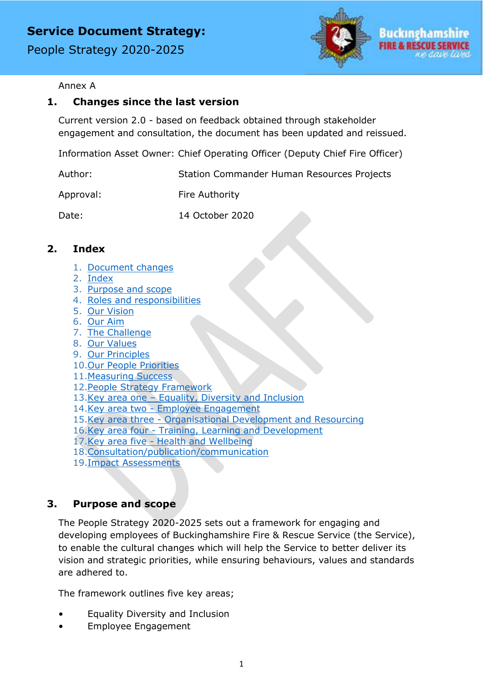People Strategy 2020-2025



#### Annex A

#### **1. Changes since the last version**

Current version 2.0 - based on feedback obtained through stakeholder engagement and consultation, the document has been updated and reissued.

Information Asset Owner: Chief Operating Officer (Deputy Chief Fire Officer)

| Author:   | <b>Station Commander Human Resources Projects</b> |
|-----------|---------------------------------------------------|
| Approval: | Fire Authority                                    |
| Date:     | 14 October 2020                                   |

#### <span id="page-5-1"></span>**2. Index**

- 1. [Document changes](#page-5-0)
- 2. [Index](#page-5-1)
- 3. [Purpose and scope](#page-5-2)
- 4. [Roles and responsibilities](#page-6-0)
- 5. [Our Vision](#page-6-1)
- 6. [Our Aim](#page-6-2)
- 7. [The Challenge](#page-7-0)
- <span id="page-5-0"></span>8. [Our Values](#page-7-1)
- 9. [Our Principles](#page-8-0)
- 10[.Our People Priorities](#page-8-1)
- 11. Measuring Success
- 12[.People Strategy Framework](#page-10-0)
- 13.Key area one Equality, [Diversity and Inclusion](#page-10-1)
- 14.Key area two [Employee Engagement](#page-11-0)
- 15.Key area three [Organisational Development and Resourcing](#page-12-0)
- 16.Key area four [Training, Learning and Development](#page-13-0)
- 17.Key area five [Health and Wellbeing](#page-14-0)
- 18[.Consultation/publication/communication](#page-15-0)
- 19[.Impact Assessments](#page-16-0)

#### <span id="page-5-2"></span>**3. Purpose and scope**

The People Strategy 2020-2025 sets out a framework for engaging and developing employees of Buckinghamshire Fire & Rescue Service (the Service), to enable the cultural changes which will help the Service to better deliver its vision and strategic priorities, while ensuring behaviours, values and standards are adhered to.

The framework outlines five key areas;

- Equality Diversity and Inclusion
- Employee Engagement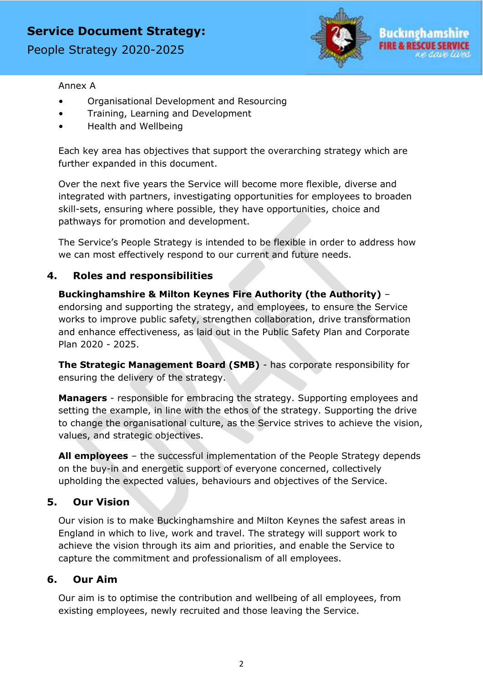People Strategy 2020-2025



#### Annex A

- Organisational Development and Resourcing
- Training, Learning and Development
- Health and Wellbeing

Each key area has objectives that support the overarching strategy which are further expanded in this document.

Over the next five years the Service will become more flexible, diverse and integrated with partners, investigating opportunities for employees to broaden skill-sets, ensuring where possible, they have opportunities, choice and pathways for promotion and development.

The Service's People Strategy is intended to be flexible in order to address how we can most effectively respond to our current and future needs.

#### <span id="page-6-0"></span>**4. Roles and responsibilities**

**Buckinghamshire & Milton Keynes Fire Authority (the Authority)** – endorsing and supporting the strategy, and employees, to ensure the Service works to improve public safety, strengthen collaboration, drive transformation and enhance effectiveness, as laid out in the Public Safety Plan and Corporate Plan 2020 - 2025.

**The Strategic Management Board (SMB)** - has corporate responsibility for ensuring the delivery of the strategy.

**Managers** - responsible for embracing the strategy. Supporting employees and setting the example, in line with the ethos of the strategy. Supporting the drive to change the organisational culture, as the Service strives to achieve the vision, values, and strategic objectives.

**All employees** – the successful implementation of the People Strategy depends on the buy-in and energetic support of everyone concerned, collectively upholding the expected values, behaviours and objectives of the Service.

#### <span id="page-6-1"></span>**5. Our Vision**

Our vision is to make Buckinghamshire and Milton Keynes the safest areas in England in which to live, work and travel. The strategy will support work to achieve the vision through its aim and priorities, and enable the Service to capture the commitment and professionalism of all employees.

#### <span id="page-6-2"></span>**6. Our Aim**

Our aim is to optimise the contribution and wellbeing of all employees, from existing employees, newly recruited and those leaving the Service.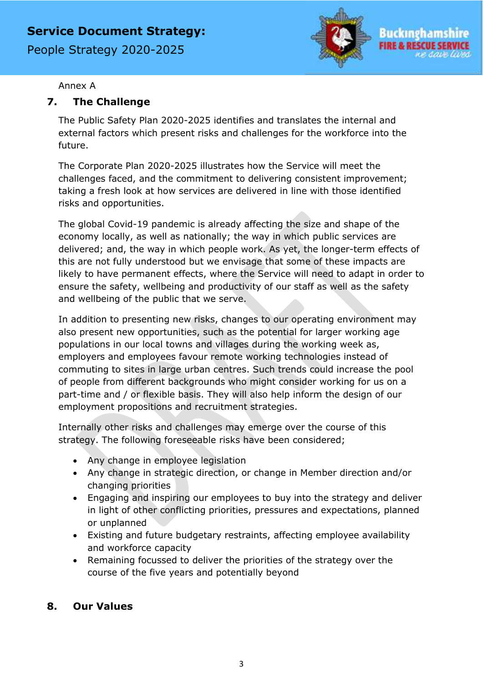People Strategy 2020-2025



#### Annex A

### <span id="page-7-0"></span>**7. The Challenge**

The Public Safety Plan 2020-2025 identifies and translates the internal and external factors which present risks and challenges for the workforce into the future.

The Corporate Plan 2020-2025 illustrates how the Service will meet the challenges faced, and the commitment to delivering consistent improvement; taking a fresh look at how services are delivered in line with those identified risks and opportunities.

The global Covid-19 pandemic is already affecting the size and shape of the economy locally, as well as nationally; the way in which public services are delivered; and, the way in which people work. As yet, the longer-term effects of this are not fully understood but we envisage that some of these impacts are likely to have permanent effects, where the Service will need to adapt in order to ensure the safety, wellbeing and productivity of our staff as well as the safety and wellbeing of the public that we serve.

In addition to presenting new risks, changes to our operating environment may also present new opportunities, such as the potential for larger working age populations in our local towns and villages during the working week as, employers and employees favour remote working technologies instead of commuting to sites in large urban centres. Such trends could increase the pool of people from different backgrounds who might consider working for us on a part-time and / or flexible basis. They will also help inform the design of our employment propositions and recruitment strategies.

Internally other risks and challenges may emerge over the course of this strategy. The following foreseeable risks have been considered;

- Any change in employee legislation
- Any change in strategic direction, or change in Member direction and/or changing priorities
- Engaging and inspiring our employees to buy into the strategy and deliver in light of other conflicting priorities, pressures and expectations, planned or unplanned
- Existing and future budgetary restraints, affecting employee availability and workforce capacity
- Remaining focussed to deliver the priorities of the strategy over the course of the five years and potentially beyond

#### <span id="page-7-1"></span>**8. Our Values**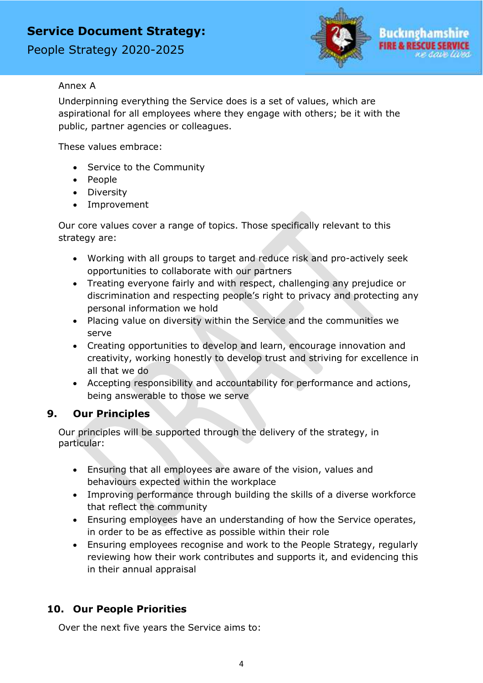People Strategy 2020-2025



#### Annex A

Underpinning everything the Service does is a set of values, which are aspirational for all employees where they engage with others; be it with the public, partner agencies or colleagues.

These values embrace:

- Service to the Community
- People
- Diversity
- Improvement

Our core values cover a range of topics. Those specifically relevant to this strategy are:

- Working with all groups to target and reduce risk and pro-actively seek opportunities to collaborate with our partners
- Treating everyone fairly and with respect, challenging any prejudice or discrimination and respecting people's right to privacy and protecting any personal information we hold
- Placing value on diversity within the Service and the communities we serve
- Creating opportunities to develop and learn, encourage innovation and creativity, working honestly to develop trust and striving for excellence in all that we do
- Accepting responsibility and accountability for performance and actions, being answerable to those we serve

### <span id="page-8-0"></span>**9. Our Principles**

Our principles will be supported through the delivery of the strategy, in particular:

- Ensuring that all employees are aware of the vision, values and behaviours expected within the workplace
- Improving performance through building the skills of a diverse workforce that reflect the community
- Ensuring employees have an understanding of how the Service operates, in order to be as effective as possible within their role
- Ensuring employees recognise and work to the People Strategy, regularly reviewing how their work contributes and supports it, and evidencing this in their annual appraisal

### <span id="page-8-1"></span>**10. Our People Priorities**

Over the next five years the Service aims to: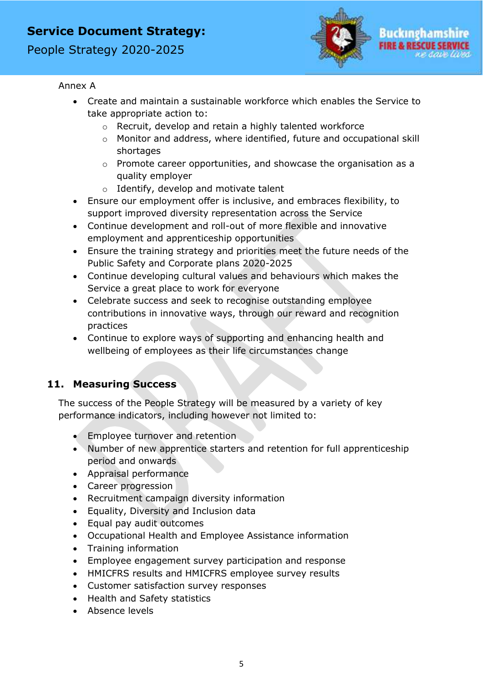People Strategy 2020-2025



#### Annex A

- Create and maintain a sustainable workforce which enables the Service to take appropriate action to:
	- o Recruit, develop and retain a highly talented workforce
	- o Monitor and address, where identified, future and occupational skill shortages
	- o Promote career opportunities, and showcase the organisation as a quality employer
	- o Identify, develop and motivate talent
- Ensure our employment offer is inclusive, and embraces flexibility, to support improved diversity representation across the Service
- Continue development and roll-out of more flexible and innovative employment and apprenticeship opportunities
- Ensure the training strategy and priorities meet the future needs of the Public Safety and Corporate plans 2020-2025
- Continue developing cultural values and behaviours which makes the Service a great place to work for everyone
- Celebrate success and seek to recognise outstanding employee contributions in innovative ways, through our reward and recognition practices
- Continue to explore ways of supporting and enhancing health and wellbeing of employees as their life circumstances change

#### <span id="page-9-0"></span>**11. Measuring Success**

The success of the People Strategy will be measured by a variety of key performance indicators, including however not limited to:

- Employee turnover and retention
- Number of new apprentice starters and retention for full apprenticeship period and onwards
- Appraisal performance
- Career progression
- Recruitment campaign diversity information
- Equality, Diversity and Inclusion data
- Equal pay audit outcomes
- Occupational Health and Employee Assistance information
- Training information
- Employee engagement survey participation and response
- HMICFRS results and HMICFRS employee survey results
- Customer satisfaction survey responses
- Health and Safety statistics
- Absence levels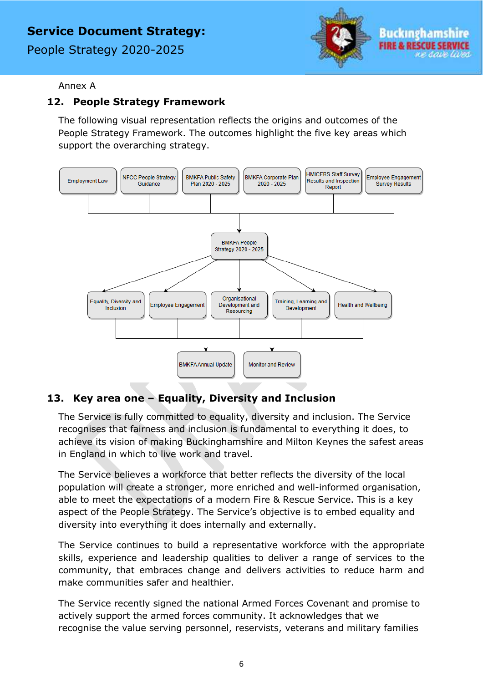People Strategy 2020-2025



#### Annex A

### <span id="page-10-0"></span>**12. People Strategy Framework**

The following visual representation reflects the origins and outcomes of the People Strategy Framework. The outcomes highlight the five key areas which support the overarching strategy.



### <span id="page-10-1"></span>**13. Key area one – Equality, Diversity and Inclusion**

The Service is fully committed to equality, diversity and inclusion. The Service recognises that fairness and inclusion is fundamental to everything it does, to achieve its vision of making Buckinghamshire and Milton Keynes the safest areas in England in which to live work and travel.

The Service believes a workforce that better reflects the diversity of the local population will create a stronger, more enriched and well-informed organisation, able to meet the expectations of a modern Fire & Rescue Service. This is a key aspect of the People Strategy. The Service's objective is to embed equality and diversity into everything it does internally and externally.

The Service continues to build a representative workforce with the appropriate skills, experience and leadership qualities to deliver a range of services to the community, that embraces change and delivers activities to reduce harm and make communities safer and healthier.

The Service recently signed the national Armed Forces Covenant and promise to actively support the armed forces community. It acknowledges that we recognise the value serving personnel, reservists, veterans and military families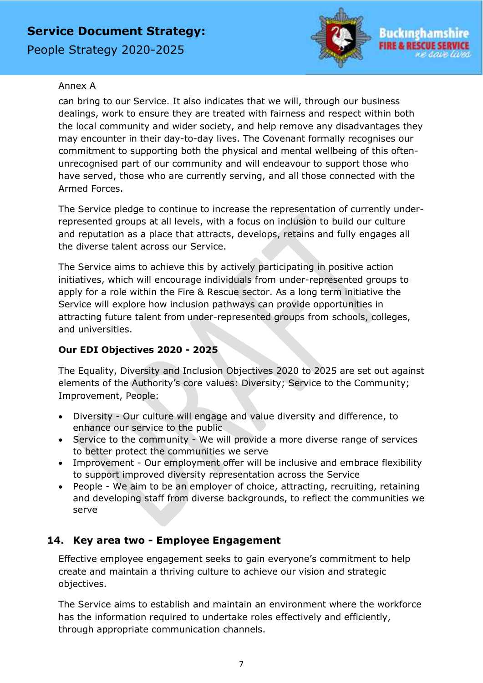People Strategy 2020-2025



#### Annex A

can bring to our Service. It also indicates that we will, through our business dealings, work to ensure they are treated with fairness and respect within both the local community and wider society, and help remove any disadvantages they may encounter in their day-to-day lives. The Covenant formally recognises our commitment to supporting both the physical and mental wellbeing of this oftenunrecognised part of our community and will endeavour to support those who have served, those who are currently serving, and all those connected with the Armed Forces.

The Service pledge to continue to increase the representation of currently underrepresented groups at all levels, with a focus on inclusion to build our culture and reputation as a place that attracts, develops, retains and fully engages all the diverse talent across our Service.

The Service aims to achieve this by actively participating in positive action initiatives, which will encourage individuals from under-represented groups to apply for a role within the Fire & Rescue sector. As a long term initiative the Service will explore how inclusion pathways can provide opportunities in attracting future talent from under-represented groups from schools, colleges, and universities.

### **Our EDI Objectives 2020 - 2025**

The Equality, Diversity and Inclusion Objectives 2020 to 2025 are set out against elements of the Authority's core values: Diversity; Service to the Community; Improvement, People:

- Diversity Our culture will engage and value diversity and difference, to enhance our service to the public
- Service to the community We will provide a more diverse range of services to better protect the communities we serve
- Improvement Our employment offer will be inclusive and embrace flexibility to support improved diversity representation across the Service
- People We aim to be an employer of choice, attracting, recruiting, retaining and developing staff from diverse backgrounds, to reflect the communities we serve

### <span id="page-11-0"></span>**14. Key area two - Employee Engagement**

Effective employee engagement seeks to gain everyone's commitment to help create and maintain a thriving culture to achieve our vision and strategic objectives.

The Service aims to establish and maintain an environment where the workforce has the information required to undertake roles effectively and efficiently, through appropriate communication channels.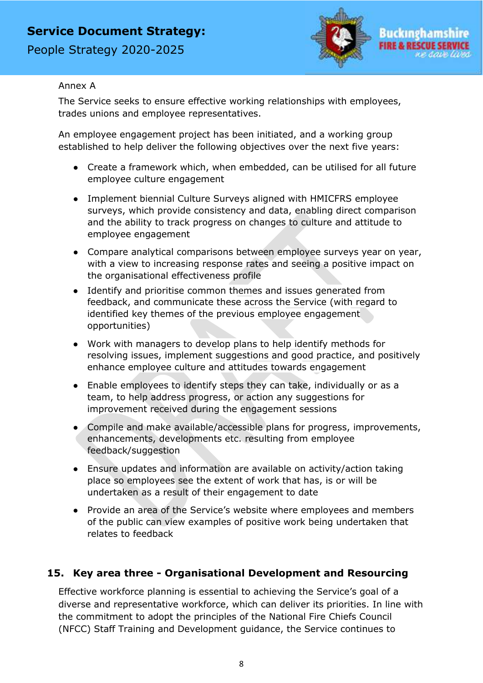People Strategy 2020-2025



#### Annex A

The Service seeks to ensure effective working relationships with employees, trades unions and employee representatives.

An employee engagement project has been initiated, and a working group established to help deliver the following objectives over the next five years:

- Create a framework which, when embedded, can be utilised for all future employee culture engagement
- Implement biennial Culture Surveys aligned with HMICFRS employee surveys, which provide consistency and data, enabling direct comparison and the ability to track progress on changes to culture and attitude to employee engagement
- Compare analytical comparisons between employee surveys year on year, with a view to increasing response rates and seeing a positive impact on the organisational effectiveness profile
- Identify and prioritise common themes and issues generated from feedback, and communicate these across the Service (with regard to identified key themes of the previous employee engagement opportunities)
- Work with managers to develop plans to help identify methods for resolving issues, implement suggestions and good practice, and positively enhance employee culture and attitudes towards engagement
- Enable employees to identify steps they can take, individually or as a team, to help address progress, or action any suggestions for improvement received during the engagement sessions
- Compile and make available/accessible plans for progress, improvements, enhancements, developments etc. resulting from employee feedback/suggestion
- Ensure updates and information are available on activity/action taking place so employees see the extent of work that has, is or will be undertaken as a result of their engagement to date
- Provide an area of the Service's website where employees and members of the public can view examples of positive work being undertaken that relates to feedback

### <span id="page-12-0"></span>**15. Key area three - Organisational Development and Resourcing**

Effective workforce planning is essential to achieving the Service's goal of a diverse and representative workforce, which can deliver its priorities. In line with the commitment to adopt the principles of the National Fire Chiefs Council (NFCC) Staff Training and Development guidance, the Service continues to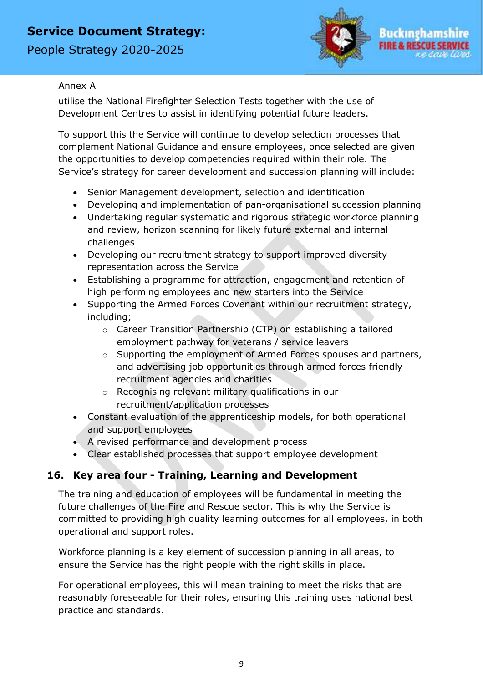People Strategy 2020-2025



#### Annex A

utilise the National Firefighter Selection Tests together with the use of Development Centres to assist in identifying potential future leaders.

To support this the Service will continue to develop selection processes that complement National Guidance and ensure employees, once selected are given the opportunities to develop competencies required within their role. The Service's strategy for career development and succession planning will include:

- Senior Management development, selection and identification
- Developing and implementation of pan-organisational succession planning
- Undertaking regular systematic and rigorous strategic workforce planning and review, horizon scanning for likely future external and internal challenges
- Developing our recruitment strategy to support improved diversity representation across the Service
- Establishing a programme for attraction, engagement and retention of high performing employees and new starters into the Service
- Supporting the Armed Forces Covenant within our recruitment strategy, including;
	- o Career Transition Partnership (CTP) on establishing a tailored employment pathway for veterans / service leavers
	- o Supporting the employment of Armed Forces spouses and partners, and advertising job opportunities through armed forces friendly recruitment agencies and charities
	- o Recognising relevant military qualifications in our recruitment/application processes
- Constant evaluation of the apprenticeship models, for both operational and support employees
- A revised performance and development process
- Clear established processes that support employee development

### <span id="page-13-0"></span>**16. Key area four - Training, Learning and Development**

The training and education of employees will be fundamental in meeting the future challenges of the Fire and Rescue sector. This is why the Service is committed to providing high quality learning outcomes for all employees, in both operational and support roles.

Workforce planning is a key element of succession planning in all areas, to ensure the Service has the right people with the right skills in place.

For operational employees, this will mean training to meet the risks that are reasonably foreseeable for their roles, ensuring this training uses national best practice and standards.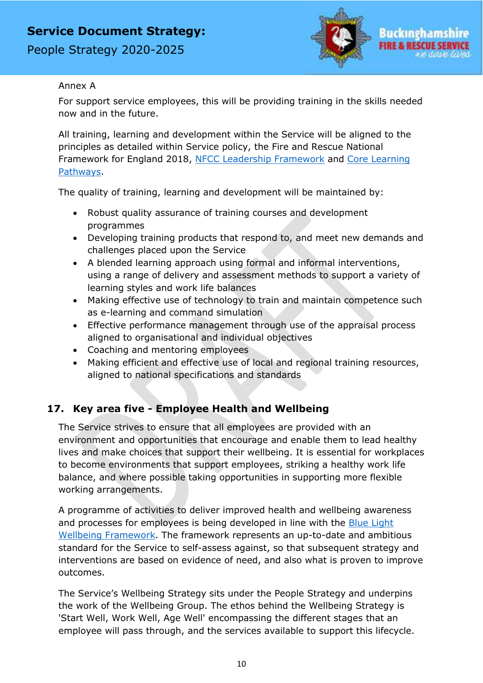People Strategy 2020-2025



#### Annex A

For support service employees, this will be providing training in the skills needed now and in the future.

All training, learning and development within the Service will be aligned to the principles as detailed within Service policy, the Fire and Rescue National Framework for England 2018, [NFCC Leadership Framework](https://www.nationalfirechiefs.org.uk/write/MediaUploads/NFCC%20Guidance%20publications/Workforce/NFCC_Leadership_Framework_Final.pdf) and [Core Learning](https://www.nationalfirechiefs.org.uk/write/MediaUploads/CPO/FRS_Education_Qualification_Framework_Leadership_website.pdf)  [Pathways.](https://www.nationalfirechiefs.org.uk/write/MediaUploads/CPO/FRS_Education_Qualification_Framework_Leadership_website.pdf)

The quality of training, learning and development will be maintained by:

- Robust quality assurance of training courses and development programmes
- Developing training products that respond to, and meet new demands and challenges placed upon the Service
- A blended learning approach using formal and informal interventions, using a range of delivery and assessment methods to support a variety of learning styles and work life balances
- Making effective use of technology to train and maintain competence such as e-learning and command simulation
- Effective performance management through use of the appraisal process aligned to organisational and individual objectives
- Coaching and mentoring employees
- Making efficient and effective use of local and regional training resources, aligned to national specifications and standards

### <span id="page-14-0"></span>**17. Key area five - Employee Health and Wellbeing**

The Service strives to ensure that all employees are provided with an environment and opportunities that encourage and enable them to lead healthy lives and make choices that support their wellbeing. It is essential for workplaces to become environments that support employees, striking a healthy work life balance, and where possible taking opportunities in supporting more flexible working arrangements.

A programme of activities to deliver improved health and wellbeing awareness and processes for employees is being developed in line with the [Blue Light](file:///C:/Users/jhumphrey/AppData/Local/Microsoft/Windows/INetCache/Content.Outlook/SP6K5NBX/strategy%20for%20career%20development%20and%20succession%20planning%20will%20include:)  [Wellbeing Framework.](file:///C:/Users/jhumphrey/AppData/Local/Microsoft/Windows/INetCache/Content.Outlook/SP6K5NBX/strategy%20for%20career%20development%20and%20succession%20planning%20will%20include:) The framework represents an up-to-date and ambitious standard for the Service to self-assess against, so that subsequent strategy and interventions are based on evidence of need, and also what is proven to improve outcomes.

The Service's Wellbeing Strategy sits under the People Strategy and underpins the work of the Wellbeing Group. The ethos behind the Wellbeing Strategy is 'Start Well, Work Well, Age Well' encompassing the different stages that an employee will pass through, and the services available to support this lifecycle.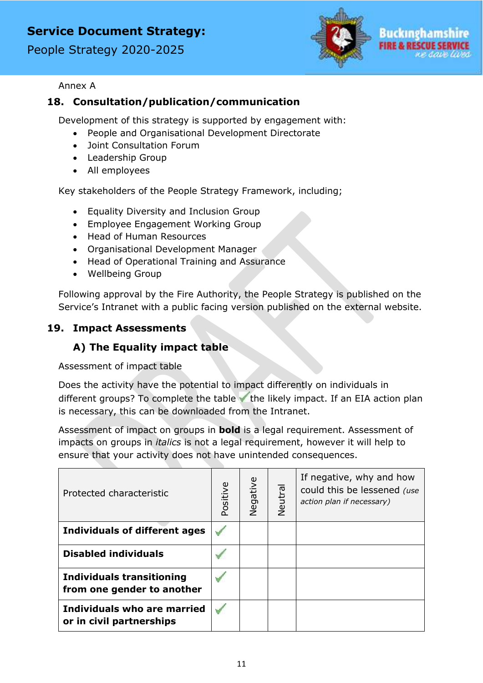People Strategy 2020-2025



#### Annex A

### <span id="page-15-0"></span>**18. Consultation/publication/communication**

Development of this strategy is supported by engagement with:

- People and Organisational Development Directorate
- Joint Consultation Forum
- Leadership Group
- All employees

Key stakeholders of the People Strategy Framework, including;

- Equality Diversity and Inclusion Group
- Employee Engagement Working Group
- Head of Human Resources
- Organisational Development Manager
- Head of Operational Training and Assurance
- Wellbeing Group

Following approval by the Fire Authority, the People Strategy is published on the Service's Intranet with a public facing version published on the external website.

### **19. Impact Assessments**

### **A) The Equality impact table**

Assessment of impact table

Does the activity have the potential to impact differently on individuals in different groups? To complete the table  $\blacktriangledown$  the likely impact. If an EIA action plan is necessary, this can be downloaded from the Intranet.

Assessment of impact on groups in **bold** is a legal requirement. Assessment of impacts on groups in *italics* is not a legal requirement, however it will help to ensure that your activity does not have unintended consequences.

| Protected characteristic                                       | Positive | Negative | Neutral | If negative, why and how<br>could this be lessened (use<br>action plan if necessary) |
|----------------------------------------------------------------|----------|----------|---------|--------------------------------------------------------------------------------------|
| <b>Individuals of different ages</b>                           |          |          |         |                                                                                      |
| <b>Disabled individuals</b>                                    |          |          |         |                                                                                      |
| <b>Individuals transitioning</b><br>from one gender to another |          |          |         |                                                                                      |
| Individuals who are married<br>or in civil partnerships        |          |          |         |                                                                                      |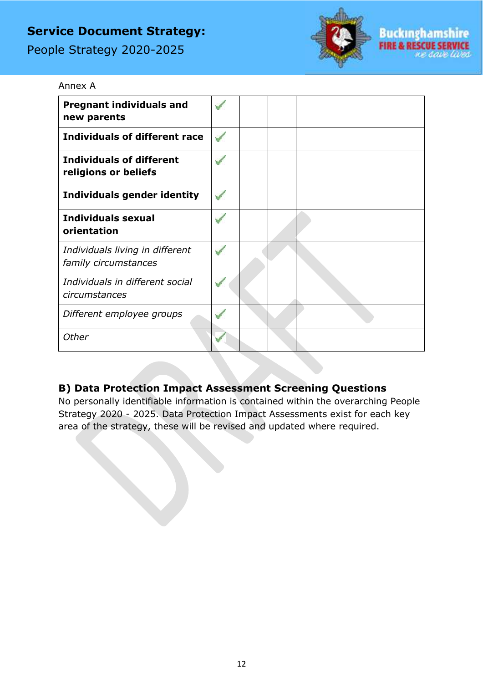People Strategy 2020-2025

Annex A



| <b>Pregnant individuals and</b><br>new parents          |  |  |
|---------------------------------------------------------|--|--|
| <b>Individuals of different race</b>                    |  |  |
| <b>Individuals of different</b><br>religions or beliefs |  |  |
| Individuals gender identity                             |  |  |
| <b>Individuals sexual</b><br>orientation                |  |  |
| Individuals living in different<br>family circumstances |  |  |
| Individuals in different social<br>circumstances        |  |  |
| Different employee groups                               |  |  |
| Other                                                   |  |  |

### <span id="page-16-0"></span>**B) Data Protection Impact Assessment Screening Questions**

No personally identifiable information is contained within the overarching People Strategy 2020 - 2025. Data Protection Impact Assessments exist for each key area of the strategy, these will be revised and updated where required.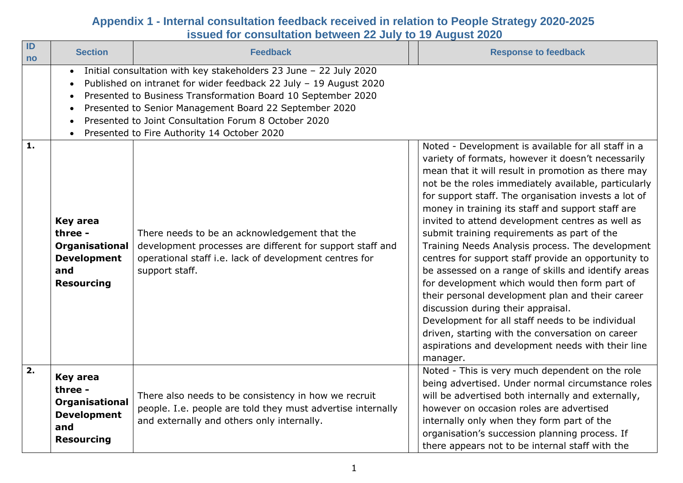| ID<br><b>no</b> | <b>Section</b>                                                                                 | <b>Feedback</b>                                                                                                                                                                                                                                                                                                                                                         | <b>Response to feedback</b>                                                                                                                                                                                                                                                                                                                                                                                                                                                                                                                                                                                                                                                                                                                                                                                      |
|-----------------|------------------------------------------------------------------------------------------------|-------------------------------------------------------------------------------------------------------------------------------------------------------------------------------------------------------------------------------------------------------------------------------------------------------------------------------------------------------------------------|------------------------------------------------------------------------------------------------------------------------------------------------------------------------------------------------------------------------------------------------------------------------------------------------------------------------------------------------------------------------------------------------------------------------------------------------------------------------------------------------------------------------------------------------------------------------------------------------------------------------------------------------------------------------------------------------------------------------------------------------------------------------------------------------------------------|
| 1.              | $\bullet$                                                                                      | Initial consultation with key stakeholders 23 June - 22 July 2020<br>Published on intranet for wider feedback 22 July - 19 August 2020<br>Presented to Business Transformation Board 10 September 2020<br>Presented to Senior Management Board 22 September 2020<br>Presented to Joint Consultation Forum 8 October 2020<br>Presented to Fire Authority 14 October 2020 | Noted - Development is available for all staff in a<br>variety of formats, however it doesn't necessarily                                                                                                                                                                                                                                                                                                                                                                                                                                                                                                                                                                                                                                                                                                        |
|                 | <b>Key area</b><br>three -<br>Organisational<br><b>Development</b><br>and<br><b>Resourcing</b> | There needs to be an acknowledgement that the<br>development processes are different for support staff and<br>operational staff i.e. lack of development centres for<br>support staff.                                                                                                                                                                                  | mean that it will result in promotion as there may<br>not be the roles immediately available, particularly<br>for support staff. The organisation invests a lot of<br>money in training its staff and support staff are<br>invited to attend development centres as well as<br>submit training requirements as part of the<br>Training Needs Analysis process. The development<br>centres for support staff provide an opportunity to<br>be assessed on a range of skills and identify areas<br>for development which would then form part of<br>their personal development plan and their career<br>discussion during their appraisal.<br>Development for all staff needs to be individual<br>driven, starting with the conversation on career<br>aspirations and development needs with their line<br>manager. |
| 2.              | <b>Key area</b><br>three -<br>Organisational<br><b>Development</b><br>and<br><b>Resourcing</b> | There also needs to be consistency in how we recruit<br>people. I.e. people are told they must advertise internally<br>and externally and others only internally.                                                                                                                                                                                                       | Noted - This is very much dependent on the role<br>being advertised. Under normal circumstance roles<br>will be advertised both internally and externally,<br>however on occasion roles are advertised<br>internally only when they form part of the<br>organisation's succession planning process. If<br>there appears not to be internal staff with the                                                                                                                                                                                                                                                                                                                                                                                                                                                        |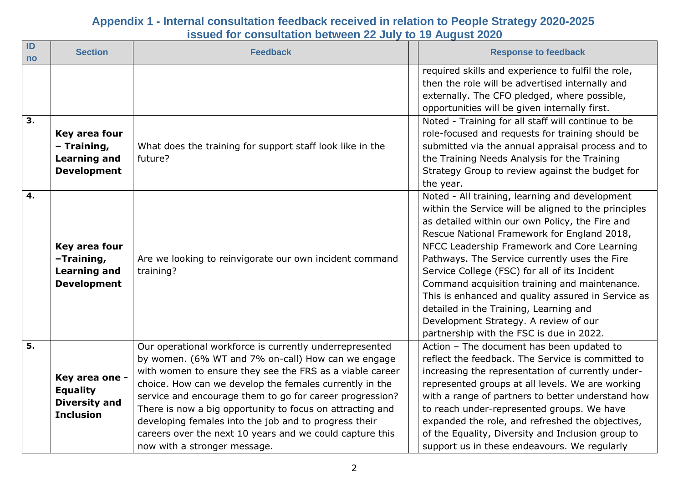| $\blacksquare$<br>no | <b>Section</b>                                                                | <b>Feedback</b>                                                                                                                                                                                                                                                                                                                                                                                                                                                                                                    | <b>Response to feedback</b>                                                                                                                                                                                                                                                                                                                                                                                                                                                                                                                                                                     |
|----------------------|-------------------------------------------------------------------------------|--------------------------------------------------------------------------------------------------------------------------------------------------------------------------------------------------------------------------------------------------------------------------------------------------------------------------------------------------------------------------------------------------------------------------------------------------------------------------------------------------------------------|-------------------------------------------------------------------------------------------------------------------------------------------------------------------------------------------------------------------------------------------------------------------------------------------------------------------------------------------------------------------------------------------------------------------------------------------------------------------------------------------------------------------------------------------------------------------------------------------------|
|                      |                                                                               |                                                                                                                                                                                                                                                                                                                                                                                                                                                                                                                    | required skills and experience to fulfil the role,<br>then the role will be advertised internally and<br>externally. The CFO pledged, where possible,<br>opportunities will be given internally first.                                                                                                                                                                                                                                                                                                                                                                                          |
| $\overline{3}$ .     | Key area four<br>- Training,<br><b>Learning and</b><br><b>Development</b>     | What does the training for support staff look like in the<br>future?                                                                                                                                                                                                                                                                                                                                                                                                                                               | Noted - Training for all staff will continue to be<br>role-focused and requests for training should be<br>submitted via the annual appraisal process and to<br>the Training Needs Analysis for the Training<br>Strategy Group to review against the budget for<br>the year.                                                                                                                                                                                                                                                                                                                     |
| 4.                   | Key area four<br>-Training,<br><b>Learning and</b><br><b>Development</b>      | Are we looking to reinvigorate our own incident command<br>training?                                                                                                                                                                                                                                                                                                                                                                                                                                               | Noted - All training, learning and development<br>within the Service will be aligned to the principles<br>as detailed within our own Policy, the Fire and<br>Rescue National Framework for England 2018,<br>NFCC Leadership Framework and Core Learning<br>Pathways. The Service currently uses the Fire<br>Service College (FSC) for all of its Incident<br>Command acquisition training and maintenance.<br>This is enhanced and quality assured in Service as<br>detailed in the Training, Learning and<br>Development Strategy. A review of our<br>partnership with the FSC is due in 2022. |
| $\overline{5}$ .     | Key area one -<br><b>Equality</b><br><b>Diversity and</b><br><b>Inclusion</b> | Our operational workforce is currently underrepresented<br>by women. (6% WT and 7% on-call) How can we engage<br>with women to ensure they see the FRS as a viable career<br>choice. How can we develop the females currently in the<br>service and encourage them to go for career progression?<br>There is now a big opportunity to focus on attracting and<br>developing females into the job and to progress their<br>careers over the next 10 years and we could capture this<br>now with a stronger message. | Action - The document has been updated to<br>reflect the feedback. The Service is committed to<br>increasing the representation of currently under-<br>represented groups at all levels. We are working<br>with a range of partners to better understand how<br>to reach under-represented groups. We have<br>expanded the role, and refreshed the objectives,<br>of the Equality, Diversity and Inclusion group to<br>support us in these endeavours. We regularly                                                                                                                             |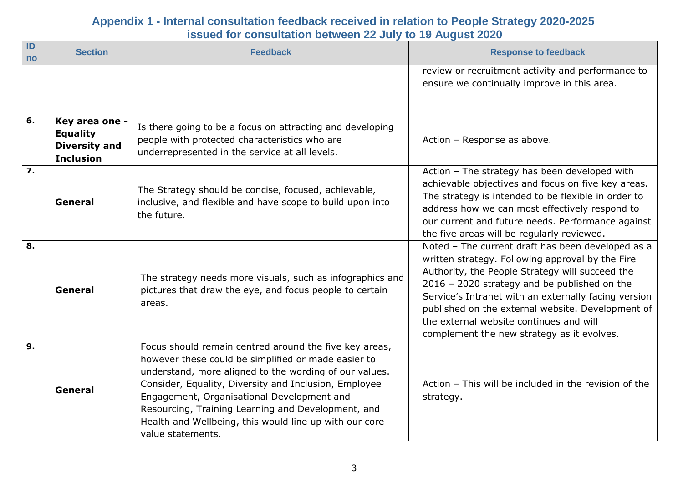| $\blacksquare$<br>no | <b>Section</b>                                                                | <b>Feedback</b>                                                                                                                                                                                                                                                                                                                                                                                                     | <b>Response to feedback</b>                                                                                                                                                                                                                                                                                                                                                                                    |
|----------------------|-------------------------------------------------------------------------------|---------------------------------------------------------------------------------------------------------------------------------------------------------------------------------------------------------------------------------------------------------------------------------------------------------------------------------------------------------------------------------------------------------------------|----------------------------------------------------------------------------------------------------------------------------------------------------------------------------------------------------------------------------------------------------------------------------------------------------------------------------------------------------------------------------------------------------------------|
|                      |                                                                               |                                                                                                                                                                                                                                                                                                                                                                                                                     | review or recruitment activity and performance to<br>ensure we continually improve in this area.                                                                                                                                                                                                                                                                                                               |
| 6.                   | Key area one -<br><b>Equality</b><br><b>Diversity and</b><br><b>Inclusion</b> | Is there going to be a focus on attracting and developing<br>people with protected characteristics who are<br>underrepresented in the service at all levels.                                                                                                                                                                                                                                                        | Action - Response as above.                                                                                                                                                                                                                                                                                                                                                                                    |
| $\overline{7}$ .     | General                                                                       | The Strategy should be concise, focused, achievable,<br>inclusive, and flexible and have scope to build upon into<br>the future.                                                                                                                                                                                                                                                                                    | Action - The strategy has been developed with<br>achievable objectives and focus on five key areas.<br>The strategy is intended to be flexible in order to<br>address how we can most effectively respond to<br>our current and future needs. Performance against<br>the five areas will be regularly reviewed.                                                                                                |
| 8.                   | General                                                                       | The strategy needs more visuals, such as infographics and<br>pictures that draw the eye, and focus people to certain<br>areas.                                                                                                                                                                                                                                                                                      | Noted - The current draft has been developed as a<br>written strategy. Following approval by the Fire<br>Authority, the People Strategy will succeed the<br>2016 - 2020 strategy and be published on the<br>Service's Intranet with an externally facing version<br>published on the external website. Development of<br>the external website continues and will<br>complement the new strategy as it evolves. |
| $\overline{9}$ .     | General                                                                       | Focus should remain centred around the five key areas,<br>however these could be simplified or made easier to<br>understand, more aligned to the wording of our values.<br>Consider, Equality, Diversity and Inclusion, Employee<br>Engagement, Organisational Development and<br>Resourcing, Training Learning and Development, and<br>Health and Wellbeing, this would line up with our core<br>value statements. | Action - This will be included in the revision of the<br>strategy.                                                                                                                                                                                                                                                                                                                                             |